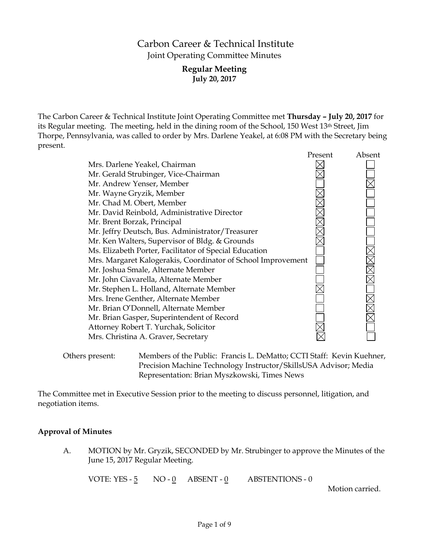# Carbon Career & Technical Institute Joint Operating Committee Minutes

### **Regular Meeting July 20, 2017**

The Carbon Career & Technical Institute Joint Operating Committee met **Thursday – July 20, 2017** for its Regular meeting. The meeting, held in the dining room of the School, 150 West 13th Street, Jim Thorpe, Pennsylvania, was called to order by Mrs. Darlene Yeakel, at 6:08 PM with the Secretary being present.

|                                                              | Present | Absent |
|--------------------------------------------------------------|---------|--------|
| Mrs. Darlene Yeakel, Chairman                                |         |        |
| Mr. Gerald Strubinger, Vice-Chairman                         |         |        |
| Mr. Andrew Yenser, Member                                    |         |        |
| Mr. Wayne Gryzik, Member                                     |         |        |
| Mr. Chad M. Obert, Member                                    |         |        |
| Mr. David Reinbold, Administrative Director                  |         |        |
| Mr. Brent Borzak, Principal                                  |         |        |
| Mr. Jeffry Deutsch, Bus. Administrator/Treasurer             |         |        |
| Mr. Ken Walters, Supervisor of Bldg. & Grounds               |         |        |
| Ms. Elizabeth Porter, Facilitator of Special Education       |         |        |
| Mrs. Margaret Kalogerakis, Coordinator of School Improvement |         |        |
| Mr. Joshua Smale, Alternate Member                           |         |        |
| Mr. John Ciavarella, Alternate Member                        |         |        |
| Mr. Stephen L. Holland, Alternate Member                     |         |        |
| Mrs. Irene Genther, Alternate Member                         |         |        |
| Mr. Brian O'Donnell, Alternate Member                        |         |        |
| Mr. Brian Gasper, Superintendent of Record                   |         |        |
| Attorney Robert T. Yurchak, Solicitor                        |         |        |
| Mrs. Christina A. Graver, Secretary                          |         |        |
|                                                              |         |        |

Others present: Members of the Public: Francis L. DeMatto; CCTI Staff: Kevin Kuehner, Precision Machine Technology Instructor/SkillsUSA Advisor; Media Representation: Brian Myszkowski, Times News

The Committee met in Executive Session prior to the meeting to discuss personnel, litigation, and negotiation items.

### **Approval of Minutes**

A. MOTION by Mr. Gryzik, SECONDED by Mr. Strubinger to approve the Minutes of the June 15, 2017 Regular Meeting.

VOTE: YES -  $\frac{5}{5}$  NO -  $\frac{0}{2}$  ABSENT -  $\frac{0}{2}$  ABSTENTIONS - 0

Motion carried.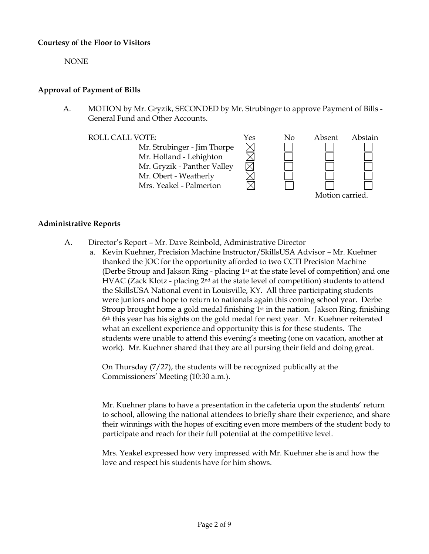### **Courtesy of the Floor to Visitors**

NONE

# **Approval of Payment of Bills**

A. MOTION by Mr. Gryzik, SECONDED by Mr. Strubinger to approve Payment of Bills - General Fund and Other Accounts.

Mr. Strubinger - Jim Thorpe Mr. Holland - Lehighton Mr. Gryzik - Panther Valley Mr. Obert - Weatherly Mrs. Yeakel - Palmerton



### **Administrative Reports**

- A. Director's Report Mr. Dave Reinbold, Administrative Director
	- a. Kevin Kuehner, Precision Machine Instructor/SkillsUSA Advisor Mr. Kuehner thanked the JOC for the opportunity afforded to two CCTI Precision Machine (Derbe Stroup and Jakson Ring - placing  $1<sup>st</sup>$  at the state level of competition) and one HVAC (Zack Klotz - placing 2nd at the state level of competition) students to attend the SkillsUSA National event in Louisville, KY. All three participating students were juniors and hope to return to nationals again this coming school year. Derbe Stroup brought home a gold medal finishing  $1<sup>st</sup>$  in the nation. Jakson Ring, finishing 6th this year has his sights on the gold medal for next year. Mr. Kuehner reiterated what an excellent experience and opportunity this is for these students. The students were unable to attend this evening's meeting (one on vacation, another at work). Mr. Kuehner shared that they are all pursing their field and doing great.

On Thursday (7/27), the students will be recognized publically at the Commissioners' Meeting (10:30 a.m.).

Mr. Kuehner plans to have a presentation in the cafeteria upon the students' return to school, allowing the national attendees to briefly share their experience, and share their winnings with the hopes of exciting even more members of the student body to participate and reach for their full potential at the competitive level.

Mrs. Yeakel expressed how very impressed with Mr. Kuehner she is and how the love and respect his students have for him shows.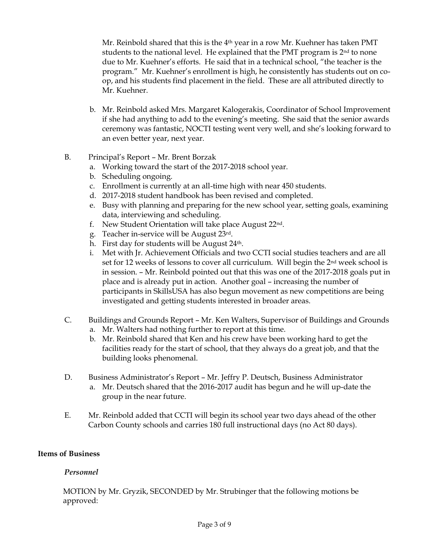Mr. Reinbold shared that this is the 4<sup>th</sup> year in a row Mr. Kuehner has taken PMT students to the national level. He explained that the PMT program is  $2<sup>nd</sup>$  to none due to Mr. Kuehner's efforts. He said that in a technical school, "the teacher is the program." Mr. Kuehner's enrollment is high, he consistently has students out on coop, and his students find placement in the field. These are all attributed directly to Mr. Kuehner.

- b. Mr. Reinbold asked Mrs. Margaret Kalogerakis, Coordinator of School Improvement if she had anything to add to the evening's meeting. She said that the senior awards ceremony was fantastic, NOCTI testing went very well, and she's looking forward to an even better year, next year.
- B. Principal's Report Mr. Brent Borzak
	- a. Working toward the start of the 2017-2018 school year.
	- b. Scheduling ongoing.
	- c. Enrollment is currently at an all-time high with near 450 students.
	- d. 2017-2018 student handbook has been revised and completed.
	- e. Busy with planning and preparing for the new school year, setting goals, examining data, interviewing and scheduling.
	- f. New Student Orientation will take place August 22nd.
	- g. Teacher in-service will be August 23rd.
	- h. First day for students will be August 24th.
	- i. Met with Jr. Achievement Officials and two CCTI social studies teachers and are all set for 12 weeks of lessons to cover all curriculum. Will begin the 2nd week school is in session. – Mr. Reinbold pointed out that this was one of the 2017-2018 goals put in place and is already put in action. Another goal – increasing the number of participants in SkillsUSA has also begun movement as new competitions are being investigated and getting students interested in broader areas.
- C. Buildings and Grounds Report Mr. Ken Walters, Supervisor of Buildings and Grounds a. Mr. Walters had nothing further to report at this time.
	- b. Mr. Reinbold shared that Ken and his crew have been working hard to get the facilities ready for the start of school, that they always do a great job, and that the building looks phenomenal.
- D. Business Administrator's Report Mr. Jeffry P. Deutsch, Business Administrator
	- a. Mr. Deutsch shared that the 2016-2017 audit has begun and he will up-date the group in the near future.
- E. Mr. Reinbold added that CCTI will begin its school year two days ahead of the other Carbon County schools and carries 180 full instructional days (no Act 80 days).

### **Items of Business**

### *Personnel*

MOTION by Mr. Gryzik, SECONDED by Mr. Strubinger that the following motions be approved: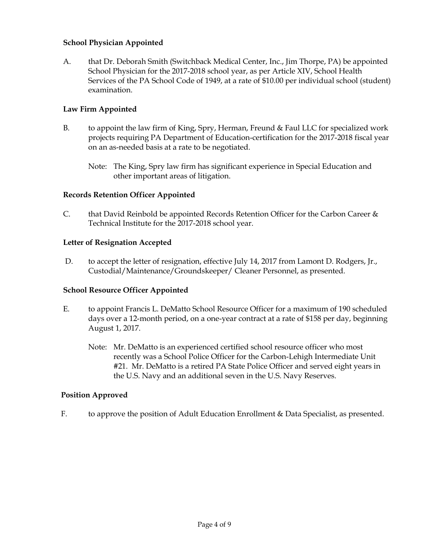### **School Physician Appointed**

A. that Dr. Deborah Smith (Switchback Medical Center, Inc., Jim Thorpe, PA) be appointed School Physician for the 2017-2018 school year, as per Article XIV, School Health Services of the PA School Code of 1949, at a rate of \$10.00 per individual school (student) examination.

# **Law Firm Appointed**

- B. to appoint the law firm of King, Spry, Herman, Freund & Faul LLC for specialized work projects requiring PA Department of Education-certification for the 2017-2018 fiscal year on an as-needed basis at a rate to be negotiated.
	- Note: The King, Spry law firm has significant experience in Special Education and other important areas of litigation.

# **Records Retention Officer Appointed**

C. that David Reinbold be appointed Records Retention Officer for the Carbon Career & Technical Institute for the 2017-2018 school year.

### **Letter of Resignation Accepted**

D. to accept the letter of resignation, effective July 14, 2017 from Lamont D. Rodgers, Jr., Custodial/Maintenance/Groundskeeper/ Cleaner Personnel, as presented.

### **School Resource Officer Appointed**

- E. to appoint Francis L. DeMatto School Resource Officer for a maximum of 190 scheduled days over a 12-month period, on a one-year contract at a rate of \$158 per day, beginning August 1, 2017.
	- Note: Mr. DeMatto is an experienced certified school resource officer who most recently was a School Police Officer for the Carbon-Lehigh Intermediate Unit #21. Mr. DeMatto is a retired PA State Police Officer and served eight years in the U.S. Navy and an additional seven in the U.S. Navy Reserves.

### **Position Approved**

F. to approve the position of Adult Education Enrollment & Data Specialist, as presented.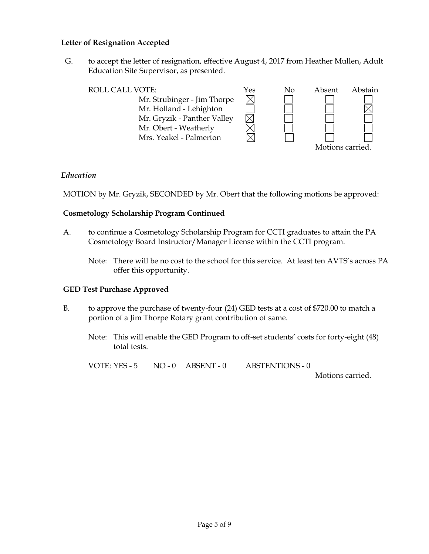#### **Letter of Resignation Accepted**

G. to accept the letter of resignation, effective August 4, 2017 from Heather Mullen, Adult Education Site Supervisor, as presented.

| <b>ROLL CALL VOTE:</b>      | Yes | Nο | Absent           | Abstain |
|-----------------------------|-----|----|------------------|---------|
| Mr. Strubinger - Jim Thorpe |     |    |                  |         |
| Mr. Holland - Lehighton     |     |    |                  |         |
| Mr. Gryzik - Panther Valley |     |    |                  |         |
| Mr. Obert - Weatherly       |     |    |                  |         |
| Mrs. Yeakel - Palmerton     |     |    |                  |         |
|                             |     |    | Motions carried. |         |

### *Education*

MOTION by Mr. Gryzik, SECONDED by Mr. Obert that the following motions be approved:

#### **Cosmetology Scholarship Program Continued**

- A. to continue a Cosmetology Scholarship Program for CCTI graduates to attain the PA Cosmetology Board Instructor/Manager License within the CCTI program.
	- Note: There will be no cost to the school for this service. At least ten AVTS's across PA offer this opportunity.

#### **GED Test Purchase Approved**

- B. to approve the purchase of twenty-four (24) GED tests at a cost of \$720.00 to match a portion of a Jim Thorpe Rotary grant contribution of same.
	- Note: This will enable the GED Program to off-set students' costs for forty-eight (48) total tests.

VOTE: YES - 5 NO - 0 ABSENT - 0 ABSTENTIONS - 0

Motions carried.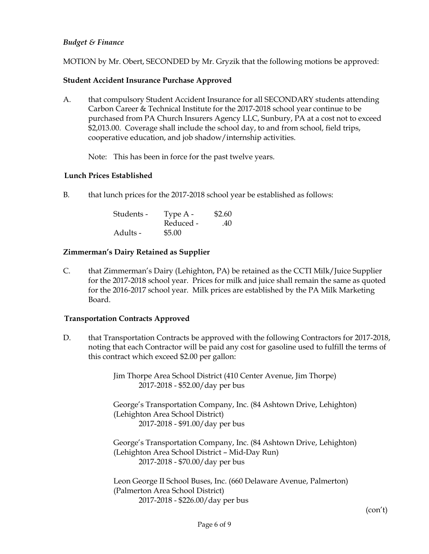# *Budget & Finance*

MOTION by Mr. Obert, SECONDED by Mr. Gryzik that the following motions be approved:

### **Student Accident Insurance Purchase Approved**

A. that compulsory Student Accident Insurance for all SECONDARY students attending Carbon Career & Technical Institute for the 2017-2018 school year continue to be purchased from PA Church Insurers Agency LLC, Sunbury, PA at a cost not to exceed \$2,013.00. Coverage shall include the school day, to and from school, field trips, cooperative education, and job shadow/internship activities.

Note: This has been in force for the past twelve years.

### **Lunch Prices Established**

B. that lunch prices for the 2017-2018 school year be established as follows:

| Students - | Type $A -$ | \$2.60 |
|------------|------------|--------|
|            | Reduced -  | .40    |
| Adults -   | \$5.00     |        |

# **Zimmerman's Dairy Retained as Supplier**

C. that Zimmerman's Dairy (Lehighton, PA) be retained as the CCTI Milk/Juice Supplier for the 2017-2018 school year. Prices for milk and juice shall remain the same as quoted for the 2016-2017 school year. Milk prices are established by the PA Milk Marketing Board.

### **Transportation Contracts Approved**

D. that Transportation Contracts be approved with the following Contractors for 2017-2018, noting that each Contractor will be paid any cost for gasoline used to fulfill the terms of this contract which exceed \$2.00 per gallon:

> Jim Thorpe Area School District (410 Center Avenue, Jim Thorpe) 2017-2018 - \$52.00/day per bus

George's Transportation Company, Inc. (84 Ashtown Drive, Lehighton) (Lehighton Area School District) 2017-2018 - \$91.00/day per bus

George's Transportation Company, Inc. (84 Ashtown Drive, Lehighton) (Lehighton Area School District – Mid-Day Run) 2017-2018 - \$70.00/day per bus

Leon George II School Buses, Inc. (660 Delaware Avenue, Palmerton) (Palmerton Area School District) 2017-2018 - \$226.00/day per bus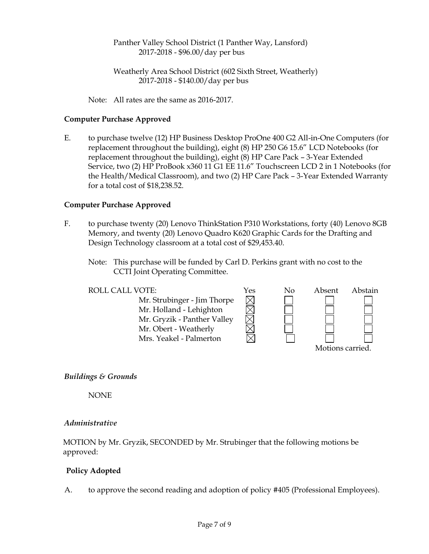Panther Valley School District (1 Panther Way, Lansford) 2017-2018 - \$96.00/day per bus

Weatherly Area School District (602 Sixth Street, Weatherly) 2017-2018 - \$140.00/day per bus

Note: All rates are the same as 2016-2017.

### **Computer Purchase Approved**

E. to purchase twelve (12) HP Business Desktop ProOne 400 G2 All-in-One Computers (for replacement throughout the building), eight (8) HP 250 G6 15.6" LCD Notebooks (for replacement throughout the building), eight (8) HP Care Pack – 3-Year Extended Service, two (2) HP ProBook x360 11 G1 EE 11.6" Touchscreen LCD 2 in 1 Notebooks (for the Health/Medical Classroom), and two (2) HP Care Pack – 3-Year Extended Warranty for a total cost of \$18,238.52.

# **Computer Purchase Approved**

- F. to purchase twenty (20) Lenovo ThinkStation P310 Workstations, forty (40) Lenovo 8GB Memory, and twenty (20) Lenovo Quadro K620 Graphic Cards for the Drafting and Design Technology classroom at a total cost of \$29,453.40.
	- Note: This purchase will be funded by Carl D. Perkins grant with no cost to the CCTI Joint Operating Committee.



### *Buildings & Grounds*

NONE

# *Administrative*

MOTION by Mr. Gryzik, SECONDED by Mr. Strubinger that the following motions be approved:

# **Policy Adopted**

A. to approve the second reading and adoption of policy #405 (Professional Employees).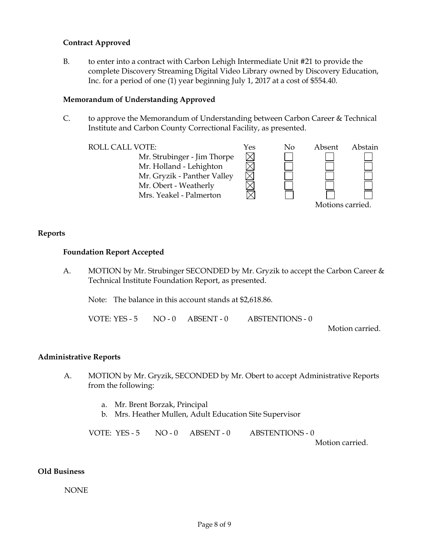### **Contract Approved**

B. to enter into a contract with Carbon Lehigh Intermediate Unit #21 to provide the complete Discovery Streaming Digital Video Library owned by Discovery Education, Inc. for a period of one (1) year beginning July 1, 2017 at a cost of \$554.40.

#### **Memorandum of Understanding Approved**

C. to approve the Memorandum of Understanding between Carbon Career & Technical Institute and Carbon County Correctional Facility, as presented.



#### **Reports**

#### **Foundation Report Accepted**

A. MOTION by Mr. Strubinger SECONDED by Mr. Gryzik to accept the Carbon Career & Technical Institute Foundation Report, as presented.

Note: The balance in this account stands at \$2,618.86.

VOTE: YES - 5 NO - 0 ABSENT - 0 ABSTENTIONS - 0

Motion carried.

#### **Administrative Reports**

- A. MOTION by Mr. Gryzik, SECONDED by Mr. Obert to accept Administrative Reports from the following:
	- a. Mr. Brent Borzak, Principal
	- b. Mrs. Heather Mullen, Adult Education Site Supervisor

VOTE: YES - 5 NO - 0 ABSENT - 0 ABSTENTIONS - 0

Motion carried.

#### **Old Business**

#### NONE